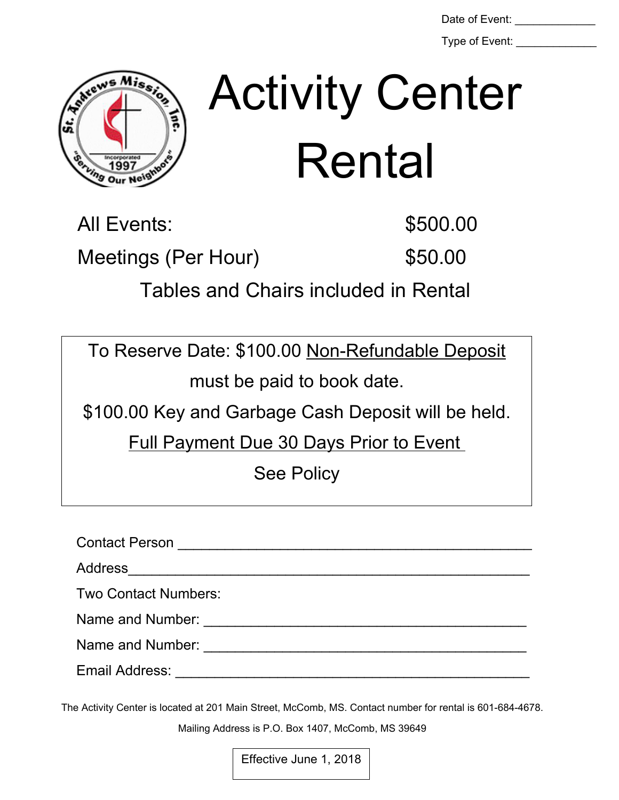Type of Event:

直 st.

## Date of Event: \_\_\_\_\_\_\_\_\_\_\_\_\_ Activity Center Rental

All Events: \$500.00

Meetings (Per Hour) \$50.00

Tables and Chairs included in Rental

To Reserve Date: \$100.00 Non-Refundable Deposit must be paid to book date.

\$100.00 Key and Garbage Cash Deposit will be held.

Full Payment Due 30 Days Prior to Event

See Policy

Contact Person **Exercise 20** Figure 20 Figure 20 Figure 20 Figure 20 Figure 20 Figure 20 Figure 20 Figure 20 Figure Address\_\_\_\_\_\_\_\_\_\_\_\_\_\_\_\_\_\_\_\_\_\_\_\_\_\_\_\_\_\_\_\_\_\_\_\_\_\_\_\_\_\_\_\_\_\_\_\_\_\_\_ Two Contact Numbers: Name and Number: \_\_\_\_\_\_\_\_\_\_\_\_\_\_\_\_\_\_\_\_\_\_\_\_\_\_\_\_\_\_\_\_\_\_\_\_\_\_\_\_\_ Name and Number: \_\_\_\_\_\_\_\_\_\_\_\_\_\_\_\_\_\_\_\_\_\_\_\_\_\_\_\_\_\_\_\_\_\_\_\_\_\_\_\_\_ Email Address: \_\_\_\_\_\_\_\_\_\_\_\_\_\_\_\_\_\_\_\_\_\_\_\_\_\_\_\_\_\_\_\_\_\_\_\_\_\_\_\_\_\_\_\_\_

The Activity Center is located at 201 Main Street, McComb, MS. Contact number for rental is 601-684-4678.

Mailing Address is P.O. Box 1407, McComb, MS 39649

Effective June 1, 2018